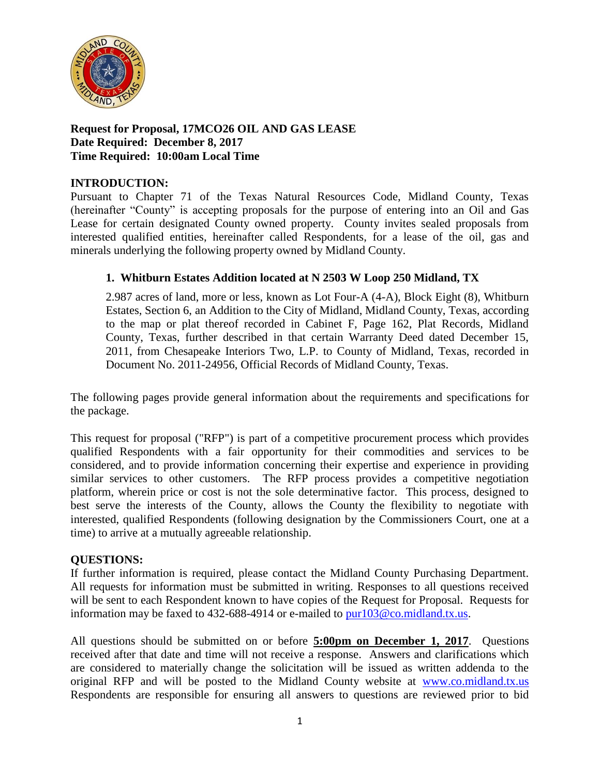

# **Request for Proposal, 17MCO26 OIL AND GAS LEASE Date Required: December 8, 2017 Time Required: 10:00am Local Time**

## **INTRODUCTION:**

Pursuant to Chapter 71 of the Texas Natural Resources Code, Midland County, Texas (hereinafter "County" is accepting proposals for the purpose of entering into an Oil and Gas Lease for certain designated County owned property. County invites sealed proposals from interested qualified entities, hereinafter called Respondents, for a lease of the oil, gas and minerals underlying the following property owned by Midland County.

# **1. Whitburn Estates Addition located at N 2503 W Loop 250 Midland, TX**

2.987 acres of land, more or less, known as Lot Four-A (4-A), Block Eight (8), Whitburn Estates, Section 6, an Addition to the City of Midland, Midland County, Texas, according to the map or plat thereof recorded in Cabinet F, Page 162, Plat Records, Midland County, Texas, further described in that certain Warranty Deed dated December 15, 2011, from Chesapeake Interiors Two, L.P. to County of Midland, Texas, recorded in Document No. 2011-24956, Official Records of Midland County, Texas.

The following pages provide general information about the requirements and specifications for the package.

This request for proposal ("RFP") is part of a competitive procurement process which provides qualified Respondents with a fair opportunity for their commodities and services to be considered, and to provide information concerning their expertise and experience in providing similar services to other customers. The RFP process provides a competitive negotiation platform, wherein price or cost is not the sole determinative factor. This process, designed to best serve the interests of the County, allows the County the flexibility to negotiate with interested, qualified Respondents (following designation by the Commissioners Court, one at a time) to arrive at a mutually agreeable relationship.

## **QUESTIONS:**

If further information is required, please contact the Midland County Purchasing Department. All requests for information must be submitted in writing. Responses to all questions received will be sent to each Respondent known to have copies of the Request for Proposal. Requests for information may be faxed to 432-688-4914 or e-mailed to [pur103@co.midland.tx.us.](mailto:pur103@co.midland.tx.us)

All questions should be submitted on or before **5:00pm on December 1, 2017**. Questions received after that date and time will not receive a response. Answers and clarifications which are considered to materially change the solicitation will be issued as written addenda to the original RFP and will be posted to the Midland County website at [www.co.midland.tx.us](http://www.co.midland.tx.us/)  Respondents are responsible for ensuring all answers to questions are reviewed prior to bid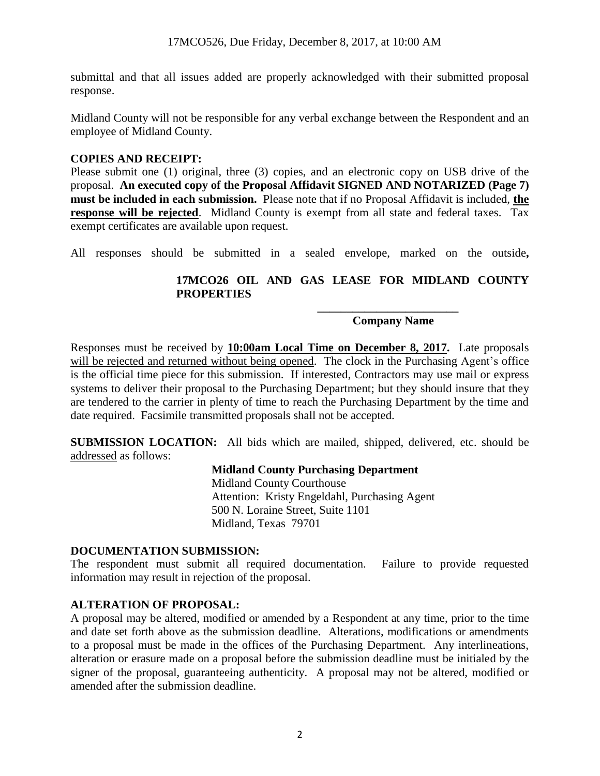submittal and that all issues added are properly acknowledged with their submitted proposal response.

Midland County will not be responsible for any verbal exchange between the Respondent and an employee of Midland County.

## **COPIES AND RECEIPT:**

Please submit one (1) original, three (3) copies, and an electronic copy on USB drive of the proposal. **An executed copy of the Proposal Affidavit SIGNED AND NOTARIZED (Page 7) must be included in each submission.** Please note that if no Proposal Affidavit is included, **the response will be rejected**. Midland County is exempt from all state and federal taxes. Tax exempt certificates are available upon request.

All responses should be submitted in a sealed envelope, marked on the outside**,** 

# **17MCO26 OIL AND GAS LEASE FOR MIDLAND COUNTY PROPERTIES**

#### **Company Name**

**\_\_\_\_\_\_\_\_\_\_\_\_\_\_\_\_\_\_\_\_\_\_\_\_**

Responses must be received by **10:00am Local Time on December 8, 2017.** Late proposals will be rejected and returned without being opened. The clock in the Purchasing Agent's office is the official time piece for this submission. If interested, Contractors may use mail or express systems to deliver their proposal to the Purchasing Department; but they should insure that they are tendered to the carrier in plenty of time to reach the Purchasing Department by the time and date required. Facsimile transmitted proposals shall not be accepted.

**SUBMISSION LOCATION:** All bids which are mailed, shipped, delivered, etc. should be addressed as follows:

#### **Midland County Purchasing Department**

Midland County Courthouse Attention: Kristy Engeldahl, Purchasing Agent 500 N. Loraine Street, Suite 1101 Midland, Texas 79701

#### **DOCUMENTATION SUBMISSION:**

The respondent must submit all required documentation. Failure to provide requested information may result in rejection of the proposal.

## **ALTERATION OF PROPOSAL:**

A proposal may be altered, modified or amended by a Respondent at any time, prior to the time and date set forth above as the submission deadline. Alterations, modifications or amendments to a proposal must be made in the offices of the Purchasing Department. Any interlineations, alteration or erasure made on a proposal before the submission deadline must be initialed by the signer of the proposal, guaranteeing authenticity. A proposal may not be altered, modified or amended after the submission deadline.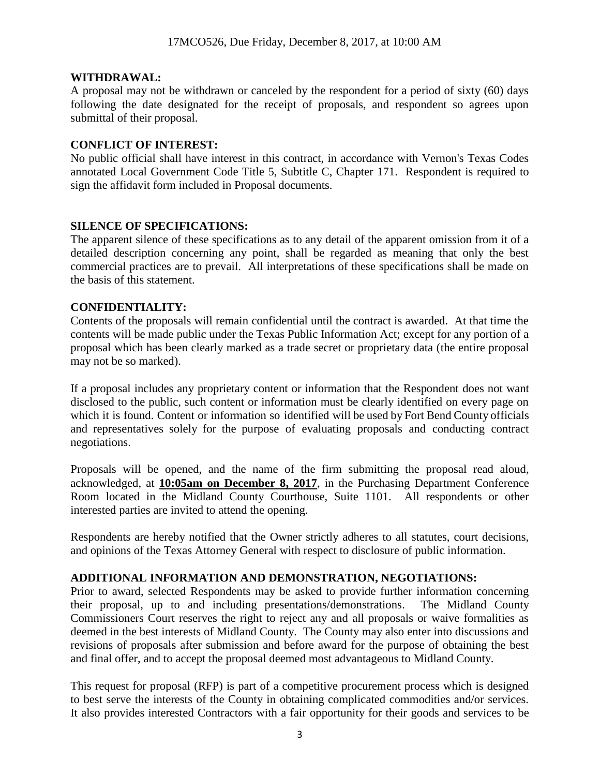### **WITHDRAWAL:**

A proposal may not be withdrawn or canceled by the respondent for a period of sixty (60) days following the date designated for the receipt of proposals, and respondent so agrees upon submittal of their proposal.

### **CONFLICT OF INTEREST:**

No public official shall have interest in this contract, in accordance with Vernon's Texas Codes annotated Local Government Code Title 5, Subtitle C, Chapter 171. Respondent is required to sign the affidavit form included in Proposal documents.

## **SILENCE OF SPECIFICATIONS:**

The apparent silence of these specifications as to any detail of the apparent omission from it of a detailed description concerning any point, shall be regarded as meaning that only the best commercial practices are to prevail. All interpretations of these specifications shall be made on the basis of this statement.

### **CONFIDENTIALITY:**

Contents of the proposals will remain confidential until the contract is awarded. At that time the contents will be made public under the Texas Public Information Act; except for any portion of a proposal which has been clearly marked as a trade secret or proprietary data (the entire proposal may not be so marked).

If a proposal includes any proprietary content or information that the Respondent does not want disclosed to the public, such content or information must be clearly identified on every page on which it is found. Content or information so identified will be used by Fort Bend County officials and representatives solely for the purpose of evaluating proposals and conducting contract negotiations.

Proposals will be opened, and the name of the firm submitting the proposal read aloud, acknowledged, at **10:05am on December 8, 2017**, in the Purchasing Department Conference Room located in the Midland County Courthouse, Suite 1101. All respondents or other interested parties are invited to attend the opening.

Respondents are hereby notified that the Owner strictly adheres to all statutes, court decisions, and opinions of the Texas Attorney General with respect to disclosure of public information.

#### **ADDITIONAL INFORMATION AND DEMONSTRATION, NEGOTIATIONS:**

Prior to award, selected Respondents may be asked to provide further information concerning their proposal, up to and including presentations/demonstrations. The Midland County Commissioners Court reserves the right to reject any and all proposals or waive formalities as deemed in the best interests of Midland County. The County may also enter into discussions and revisions of proposals after submission and before award for the purpose of obtaining the best and final offer, and to accept the proposal deemed most advantageous to Midland County.

This request for proposal (RFP) is part of a competitive procurement process which is designed to best serve the interests of the County in obtaining complicated commodities and/or services. It also provides interested Contractors with a fair opportunity for their goods and services to be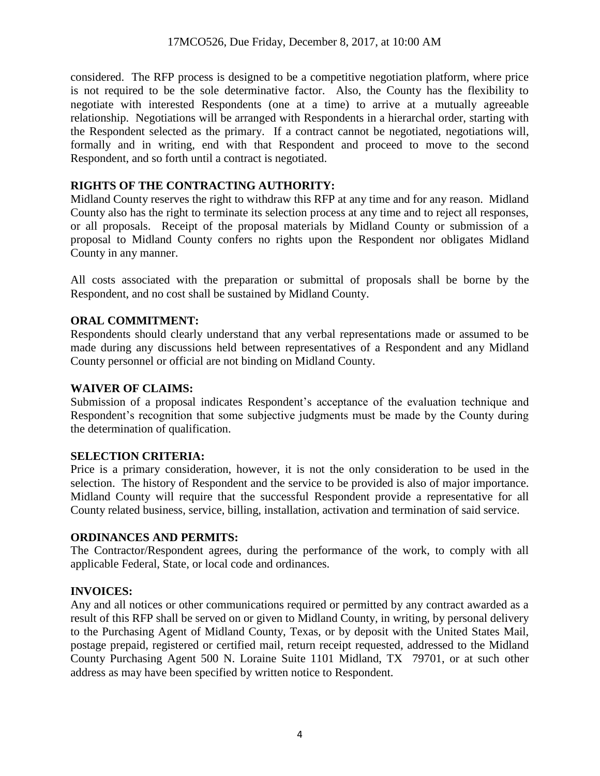considered. The RFP process is designed to be a competitive negotiation platform, where price is not required to be the sole determinative factor. Also, the County has the flexibility to negotiate with interested Respondents (one at a time) to arrive at a mutually agreeable relationship. Negotiations will be arranged with Respondents in a hierarchal order, starting with the Respondent selected as the primary. If a contract cannot be negotiated, negotiations will, formally and in writing, end with that Respondent and proceed to move to the second Respondent, and so forth until a contract is negotiated.

## **RIGHTS OF THE CONTRACTING AUTHORITY:**

Midland County reserves the right to withdraw this RFP at any time and for any reason. Midland County also has the right to terminate its selection process at any time and to reject all responses, or all proposals. Receipt of the proposal materials by Midland County or submission of a proposal to Midland County confers no rights upon the Respondent nor obligates Midland County in any manner.

All costs associated with the preparation or submittal of proposals shall be borne by the Respondent, and no cost shall be sustained by Midland County.

# **ORAL COMMITMENT:**

Respondents should clearly understand that any verbal representations made or assumed to be made during any discussions held between representatives of a Respondent and any Midland County personnel or official are not binding on Midland County.

## **WAIVER OF CLAIMS:**

Submission of a proposal indicates Respondent's acceptance of the evaluation technique and Respondent's recognition that some subjective judgments must be made by the County during the determination of qualification.

## **SELECTION CRITERIA:**

Price is a primary consideration, however, it is not the only consideration to be used in the selection. The history of Respondent and the service to be provided is also of major importance. Midland County will require that the successful Respondent provide a representative for all County related business, service, billing, installation, activation and termination of said service.

## **ORDINANCES AND PERMITS:**

The Contractor/Respondent agrees, during the performance of the work, to comply with all applicable Federal, State, or local code and ordinances.

# **INVOICES:**

Any and all notices or other communications required or permitted by any contract awarded as a result of this RFP shall be served on or given to Midland County, in writing, by personal delivery to the Purchasing Agent of Midland County, Texas, or by deposit with the United States Mail, postage prepaid, registered or certified mail, return receipt requested, addressed to the Midland County Purchasing Agent 500 N. Loraine Suite 1101 Midland, TX 79701, or at such other address as may have been specified by written notice to Respondent.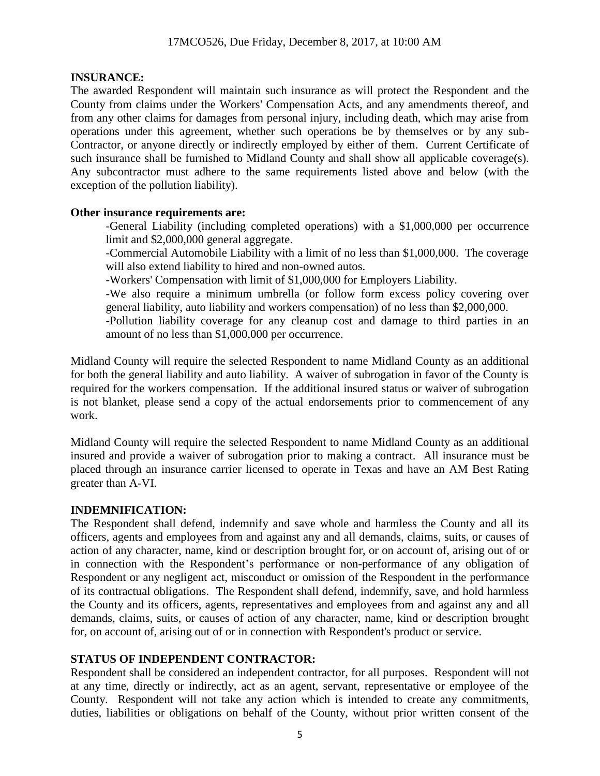### **INSURANCE:**

The awarded Respondent will maintain such insurance as will protect the Respondent and the County from claims under the Workers' Compensation Acts, and any amendments thereof, and from any other claims for damages from personal injury, including death, which may arise from operations under this agreement, whether such operations be by themselves or by any sub-Contractor, or anyone directly or indirectly employed by either of them. Current Certificate of such insurance shall be furnished to Midland County and shall show all applicable coverage(s). Any subcontractor must adhere to the same requirements listed above and below (with the exception of the pollution liability).

### **Other insurance requirements are:**

-General Liability (including completed operations) with a \$1,000,000 per occurrence limit and \$2,000,000 general aggregate.

-Commercial Automobile Liability with a limit of no less than \$1,000,000. The coverage will also extend liability to hired and non-owned autos.

-Workers' Compensation with limit of \$1,000,000 for Employers Liability.

-We also require a minimum umbrella (or follow form excess policy covering over general liability, auto liability and workers compensation) of no less than \$2,000,000.

-Pollution liability coverage for any cleanup cost and damage to third parties in an amount of no less than \$1,000,000 per occurrence.

Midland County will require the selected Respondent to name Midland County as an additional for both the general liability and auto liability. A waiver of subrogation in favor of the County is required for the workers compensation. If the additional insured status or waiver of subrogation is not blanket, please send a copy of the actual endorsements prior to commencement of any work.

Midland County will require the selected Respondent to name Midland County as an additional insured and provide a waiver of subrogation prior to making a contract. All insurance must be placed through an insurance carrier licensed to operate in Texas and have an AM Best Rating greater than A-VI.

## **INDEMNIFICATION:**

The Respondent shall defend, indemnify and save whole and harmless the County and all its officers, agents and employees from and against any and all demands, claims, suits, or causes of action of any character, name, kind or description brought for, or on account of, arising out of or in connection with the Respondent's performance or non-performance of any obligation of Respondent or any negligent act, misconduct or omission of the Respondent in the performance of its contractual obligations. The Respondent shall defend, indemnify, save, and hold harmless the County and its officers, agents, representatives and employees from and against any and all demands, claims, suits, or causes of action of any character, name, kind or description brought for, on account of, arising out of or in connection with Respondent's product or service.

#### **STATUS OF INDEPENDENT CONTRACTOR:**

Respondent shall be considered an independent contractor, for all purposes. Respondent will not at any time, directly or indirectly, act as an agent, servant, representative or employee of the County. Respondent will not take any action which is intended to create any commitments, duties, liabilities or obligations on behalf of the County, without prior written consent of the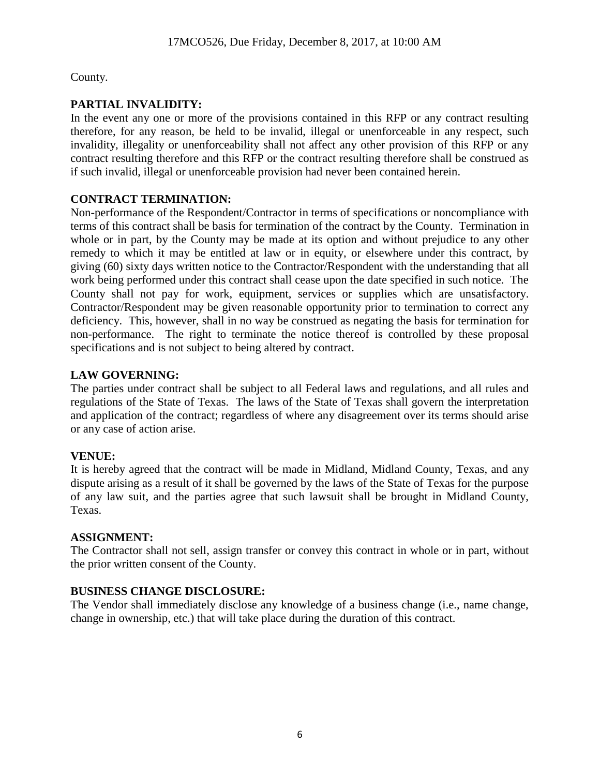County.

# **PARTIAL INVALIDITY:**

In the event any one or more of the provisions contained in this RFP or any contract resulting therefore, for any reason, be held to be invalid, illegal or unenforceable in any respect, such invalidity, illegality or unenforceability shall not affect any other provision of this RFP or any contract resulting therefore and this RFP or the contract resulting therefore shall be construed as if such invalid, illegal or unenforceable provision had never been contained herein.

# **CONTRACT TERMINATION:**

Non-performance of the Respondent/Contractor in terms of specifications or noncompliance with terms of this contract shall be basis for termination of the contract by the County. Termination in whole or in part, by the County may be made at its option and without prejudice to any other remedy to which it may be entitled at law or in equity, or elsewhere under this contract, by giving (60) sixty days written notice to the Contractor/Respondent with the understanding that all work being performed under this contract shall cease upon the date specified in such notice. The County shall not pay for work, equipment, services or supplies which are unsatisfactory. Contractor/Respondent may be given reasonable opportunity prior to termination to correct any deficiency. This, however, shall in no way be construed as negating the basis for termination for non-performance. The right to terminate the notice thereof is controlled by these proposal specifications and is not subject to being altered by contract.

# **LAW GOVERNING:**

The parties under contract shall be subject to all Federal laws and regulations, and all rules and regulations of the State of Texas. The laws of the State of Texas shall govern the interpretation and application of the contract; regardless of where any disagreement over its terms should arise or any case of action arise.

# **VENUE:**

It is hereby agreed that the contract will be made in Midland, Midland County, Texas, and any dispute arising as a result of it shall be governed by the laws of the State of Texas for the purpose of any law suit, and the parties agree that such lawsuit shall be brought in Midland County, Texas.

## **ASSIGNMENT:**

The Contractor shall not sell, assign transfer or convey this contract in whole or in part, without the prior written consent of the County.

# **BUSINESS CHANGE DISCLOSURE:**

The Vendor shall immediately disclose any knowledge of a business change (i.e., name change, change in ownership, etc.) that will take place during the duration of this contract.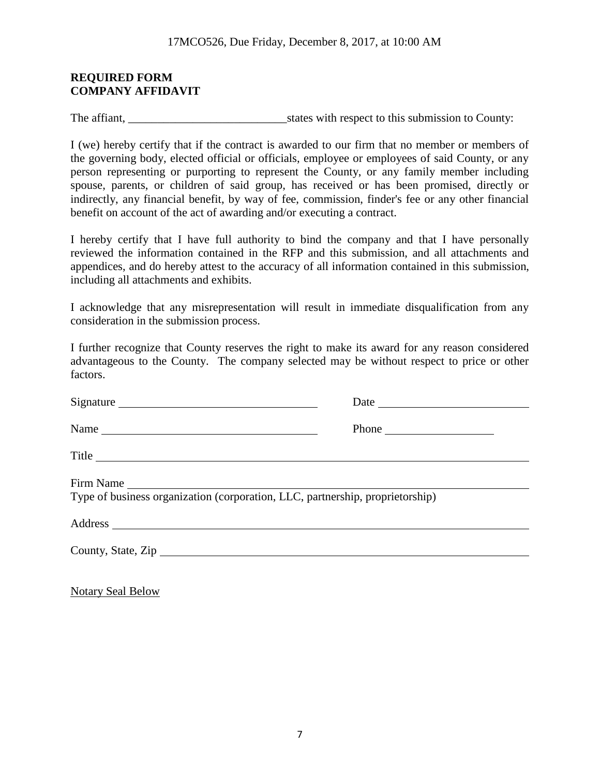### **REQUIRED FORM COMPANY AFFIDAVIT**

The affiant, \_\_\_\_\_\_\_\_\_\_\_\_\_\_\_\_\_\_\_\_\_\_\_\_\_\_\_states with respect to this submission to County:

I (we) hereby certify that if the contract is awarded to our firm that no member or members of the governing body, elected official or officials, employee or employees of said County, or any person representing or purporting to represent the County, or any family member including spouse, parents, or children of said group, has received or has been promised, directly or indirectly, any financial benefit, by way of fee, commission, finder's fee or any other financial benefit on account of the act of awarding and/or executing a contract.

I hereby certify that I have full authority to bind the company and that I have personally reviewed the information contained in the RFP and this submission, and all attachments and appendices, and do hereby attest to the accuracy of all information contained in this submission, including all attachments and exhibits.

I acknowledge that any misrepresentation will result in immediate disqualification from any consideration in the submission process.

I further recognize that County reserves the right to make its award for any reason considered advantageous to the County. The company selected may be without respect to price or other factors.

| Signature                                                                     | Date                                                                                           |
|-------------------------------------------------------------------------------|------------------------------------------------------------------------------------------------|
|                                                                               | Phone $\frac{1}{\sqrt{1-\frac{1}{2}}\sqrt{1-\frac{1}{2}}\left(\frac{1}{2}-\frac{1}{2}\right)}$ |
| Title                                                                         |                                                                                                |
| Firm Name                                                                     |                                                                                                |
| Type of business organization (corporation, LLC, partnership, proprietorship) |                                                                                                |
|                                                                               |                                                                                                |
| County, State, Zip                                                            |                                                                                                |
|                                                                               |                                                                                                |

Notary Seal Below